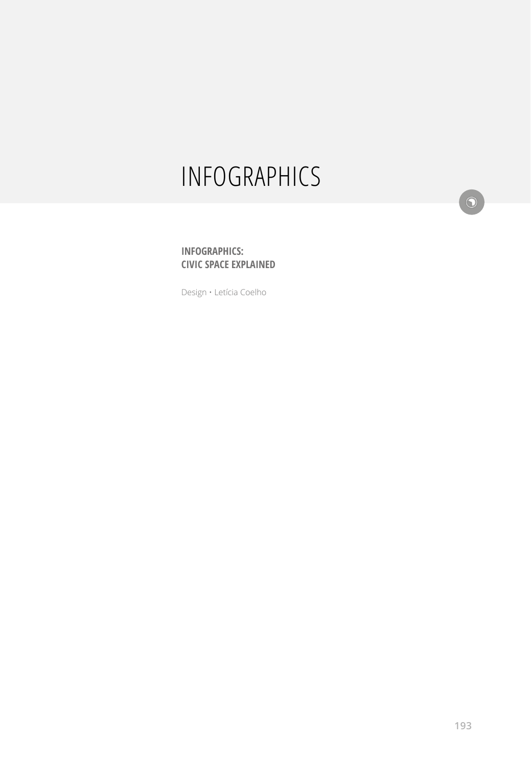# INFOGRAPHICS

 $\odot$ 

#### **INFOGRAPHICS: CIVIC SPACE EXPLAINED**

Design • Letícia Coelho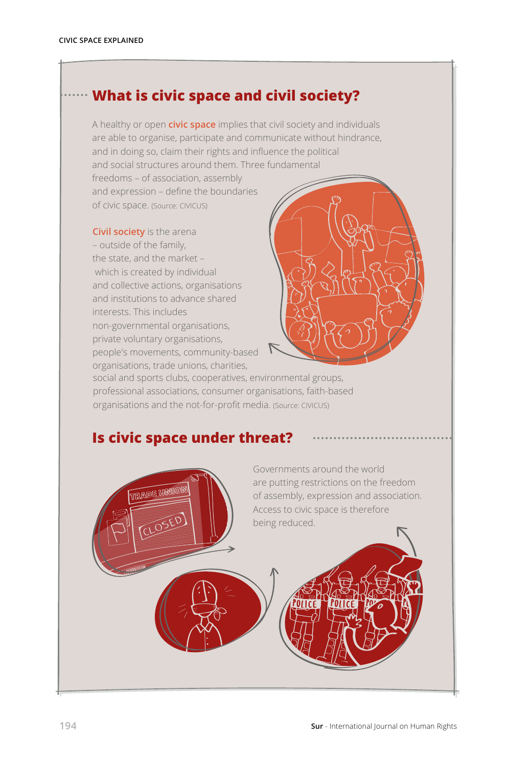## **What is civic space and civil society?**

A healthy or open **civic space** implies that civil society and individuals are able to organise, participate and communicate without hindrance, and in doing so, claim their rights and influence the political and social structures around them. Three fundamental freedoms – of association, assembly

and expression – define the boundaries of civic space. (Source: CIVICUS)

**Civil society** is the arena – outside of the family, the state, and the market – which is created by individual and collective actions, organisations and institutions to advance shared interests. This includes non-governmental organisations, private voluntary organisations, people's movements, community-based organisations, trade unions, charities,



social and sports clubs, cooperatives, environmental groups, professional associations, consumer organisations, faith-based organisations and the not-for-profit media. (Source: CIVICUS)

### **Is civic space under threat?**

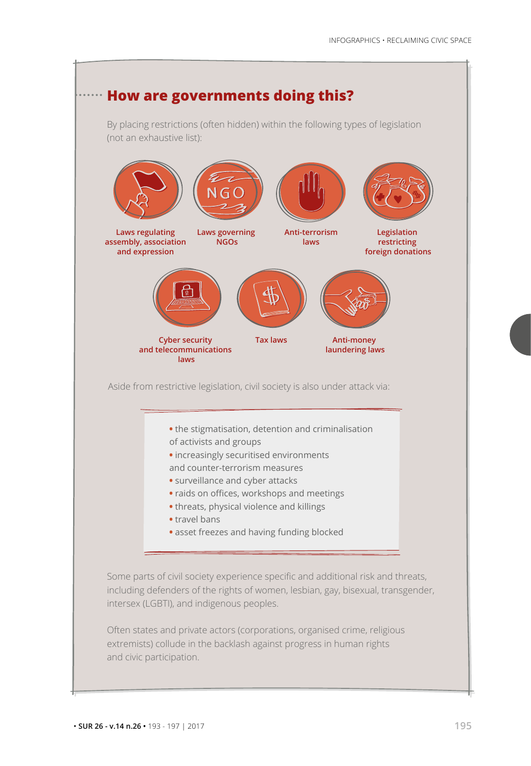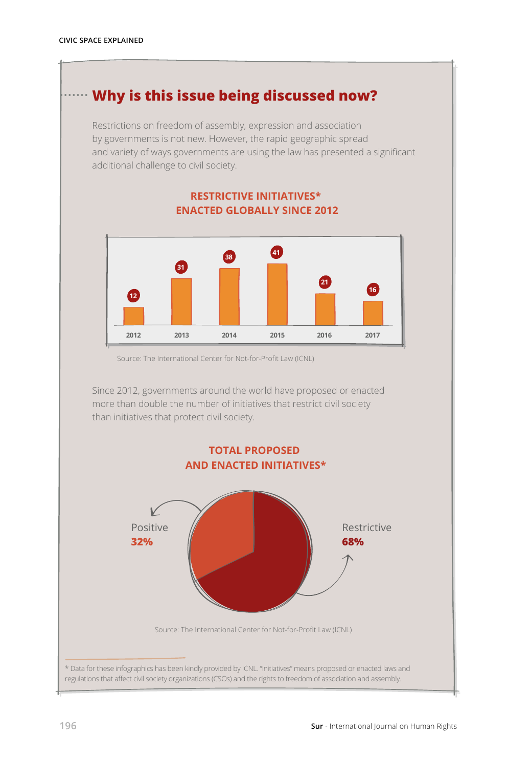## **Why is this issue being discussed now?**

Restrictions on freedom of assembly, expression and association by governments is not new. However, the rapid geographic spread and variety of ways governments are using the law has presented a significant additional challenge to civil society.

#### **RESTRICTIVE INITIATIVES\* ENACTED GLOBALLY SINCE 2012**



Source: The International Center for Not-for-Profit Law (ICNL)

Since 2012, governments around the world have proposed or enacted more than double the number of initiatives that restrict civil society than initiatives that protect civil society.